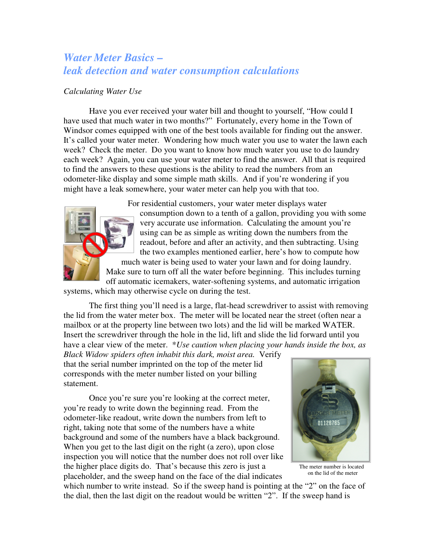## *Water Meter Basics – leak detection and water consumption calculations*

## *Calculating Water Use*

Have you ever received your water bill and thought to yourself, "How could I have used that much water in two months?" Fortunately, every home in the Town of Windsor comes equipped with one of the best tools available for finding out the answer. It's called your water meter. Wondering how much water you use to water the lawn each week? Check the meter. Do you want to know how much water you use to do laundry each week? Again, you can use your water meter to find the answer. All that is required to find the answers to these questions is the ability to read the numbers from an odometer-like display and some simple math skills. And if you're wondering if you might have a leak somewhere, your water meter can help you with that too.

For residential customers, your water meter displays water

consumption down to a tenth of a gallon, providing you with some very accurate use information. Calculating the amount you're using can be as simple as writing down the numbers from the readout, before and after an activity, and then subtracting. Using the two examples mentioned earlier, here's how to compute how much water is being used to water your lawn and for doing laundry. Make sure to turn off all the water before beginning. This includes turning off automatic icemakers, water-softening systems, and automatic irrigation

systems, which may otherwise cycle on during the test.

The first thing you'll need is a large, flat-head screwdriver to assist with removing the lid from the water meter box. The meter will be located near the street (often near a mailbox or at the property line between two lots) and the lid will be marked WATER. Insert the screwdriver through the hole in the lid, lift and slide the lid forward until you have a clear view of the meter. \**Use caution when placing your hands inside the box, as* 

*Black Widow spiders often inhabit this dark, moist area.* Verify that the serial number imprinted on the top of the meter lid corresponds with the meter number listed on your billing statement.

Once you're sure you're looking at the correct meter, you're ready to write down the beginning read. From the odometer-like readout, write down the numbers from left to right, taking note that some of the numbers have a white background and some of the numbers have a black background. When you get to the last digit on the right (a zero), upon close inspection you will notice that the number does not roll over like the higher place digits do. That's because this zero is just a placeholder, and the sweep hand on the face of the dial indicates



 The meter number is located on the lid of the meter

which number to write instead. So if the sweep hand is pointing at the "2" on the face of the dial, then the last digit on the readout would be written "2". If the sweep hand is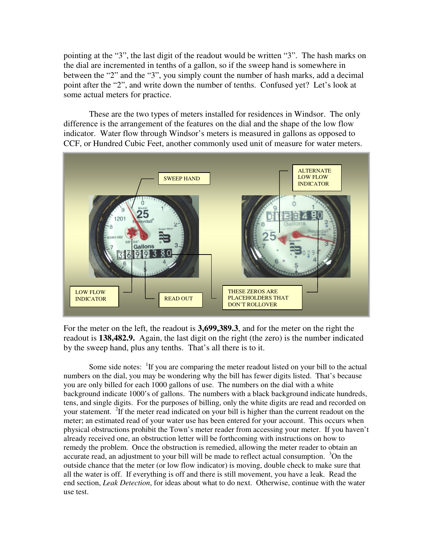pointing at the "3", the last digit of the readout would be written "3". The hash marks on the dial are incremented in tenths of a gallon, so if the sweep hand is somewhere in between the "2" and the "3", you simply count the number of hash marks, add a decimal point after the "2", and write down the number of tenths. Confused yet? Let's look at some actual meters for practice.

These are the two types of meters installed for residences in Windsor. The only difference is the arrangement of the features on the dial and the shape of the low flow indicator. Water flow through Windsor's meters is measured in gallons as opposed to CCF, or Hundred Cubic Feet, another commonly used unit of measure for water meters.



For the meter on the left, the readout is **3,699,389.3**, and for the meter on the right the readout is **138,482.9.** Again, the last digit on the right (the zero) is the number indicated by the sweep hand, plus any tenths. That's all there is to it.

Some side notes: <sup>1</sup>If you are comparing the meter readout listed on your bill to the actual numbers on the dial, you may be wondering why the bill has fewer digits listed. That's because you are only billed for each 1000 gallons of use. The numbers on the dial with a white background indicate 1000's of gallons. The numbers with a black background indicate hundreds, tens, and single digits. For the purposes of billing, only the white digits are read and recorded on your statement. <sup>2</sup>If the meter read indicated on your bill is higher than the current readout on the meter; an estimated read of your water use has been entered for your account. This occurs when physical obstructions prohibit the Town's meter reader from accessing your meter. If you haven't already received one, an obstruction letter will be forthcoming with instructions on how to remedy the problem. Once the obstruction is remedied, allowing the meter reader to obtain an accurate read, an adjustment to your bill will be made to reflect actual consumption.  $3$ On the outside chance that the meter (or low flow indicator) is moving, double check to make sure that all the water is off. If everything is off and there is still movement, you have a leak. Read the end section, *Leak Detection*, for ideas about what to do next. Otherwise, continue with the water use test.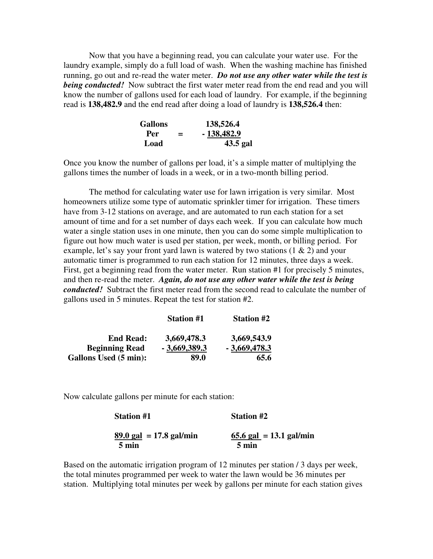Now that you have a beginning read, you can calculate your water use. For the laundry example, simply do a full load of wash. When the washing machine has finished running, go out and re-read the water meter. *Do not use any other water while the test is being conducted!* Now subtract the first water meter read from the end read and you will know the number of gallons used for each load of laundry. For example, if the beginning read is **138,482.9** and the end read after doing a load of laundry is **138,526.4** then:

|      | <b>Gallons</b> |              |
|------|----------------|--------------|
| Per  | ≕              | $-138,482.9$ |
| Load |                | 43.5 gal     |

Once you know the number of gallons per load, it's a simple matter of multiplying the gallons times the number of loads in a week, or in a two-month billing period.

The method for calculating water use for lawn irrigation is very similar. Most homeowners utilize some type of automatic sprinkler timer for irrigation. These timers have from 3-12 stations on average, and are automated to run each station for a set amount of time and for a set number of days each week. If you can calculate how much water a single station uses in one minute, then you can do some simple multiplication to figure out how much water is used per station, per week, month, or billing period. For example, let's say your front yard lawn is watered by two stations  $(1 \& 2)$  and your automatic timer is programmed to run each station for 12 minutes, three days a week. First, get a beginning read from the water meter. Run station #1 for precisely 5 minutes, and then re-read the meter. *Again, do not use any other water while the test is being conducted!* Subtract the first meter read from the second read to calculate the number of gallons used in 5 minutes. Repeat the test for station #2.

|                              | <b>Station #1</b> | <b>Station #2</b> |
|------------------------------|-------------------|-------------------|
| <b>End Read:</b>             | 3,669,478.3       | 3,669,543.9       |
| <b>Beginning Read</b>        | $-3,669,389.3$    | $-3,669,478.3$    |
| <b>Gallons Used (5 min):</b> | 89.0              | 65.6              |

Now calculate gallons per minute for each station:

| $89.0$ gal = 17.8 gal/min<br>5 min | 65.6 gal = $13.1$ gal/min<br>5 min |
|------------------------------------|------------------------------------|

**Station #1 Station #2** 

Based on the automatic irrigation program of 12 minutes per station / 3 days per week, the total minutes programmed per week to water the lawn would be 36 minutes per station. Multiplying total minutes per week by gallons per minute for each station gives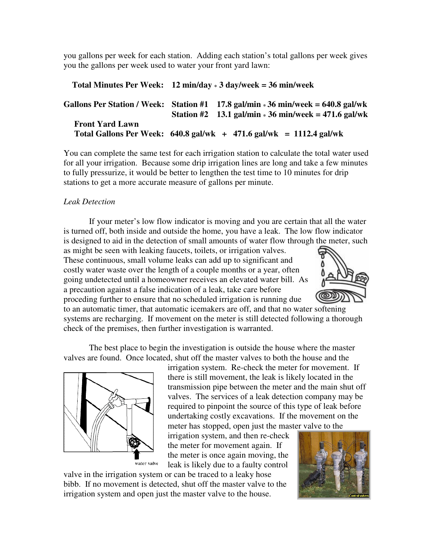you gallons per week for each station. Adding each station's total gallons per week gives you the gallons per week used to water your front yard lawn:

|                        | Total Minutes Per Week: $12 \text{ min/day} * 3 \text{ day/week} = 36 \text{ min/week}$ |                                                                                                                                               |  |
|------------------------|-----------------------------------------------------------------------------------------|-----------------------------------------------------------------------------------------------------------------------------------------------|--|
|                        |                                                                                         | Gallons Per Station / Week: Station $#1$ 17.8 gal/min $*36$ min/week = 640.8 gal/wk<br>Station #2 13.1 gal/min $* 36$ min/week = 471.6 gal/wk |  |
| <b>Front Yard Lawn</b> |                                                                                         | Total Gallons Per Week: $640.8$ gal/wk $+ 471.6$ gal/wk $= 1112.4$ gal/wk                                                                     |  |

You can complete the same test for each irrigation station to calculate the total water used for all your irrigation. Because some drip irrigation lines are long and take a few minutes to fully pressurize, it would be better to lengthen the test time to 10 minutes for drip stations to get a more accurate measure of gallons per minute.

## *Leak Detection*

 If your meter's low flow indicator is moving and you are certain that all the water is turned off, both inside and outside the home, you have a leak. The low flow indicator is designed to aid in the detection of small amounts of water flow through the meter, such

as might be seen with leaking faucets, toilets, or irrigation valves. These continuous, small volume leaks can add up to significant and costly water waste over the length of a couple months or a year, often going undetected until a homeowner receives an elevated water bill. As a precaution against a false indication of a leak, take care before proceding further to ensure that no scheduled irrigation is running due



to an automatic timer, that automatic icemakers are off, and that no water softening systems are recharging. If movement on the meter is still detected following a thorough check of the premises, then further investigation is warranted.

 The best place to begin the investigation is outside the house where the master valves are found. Once located, shut off the master valves to both the house and the



irrigation system. Re-check the meter for movement. If there is still movement, the leak is likely located in the transmission pipe between the meter and the main shut off valves. The services of a leak detection company may be required to pinpoint the source of this type of leak before undertaking costly excavations. If the movement on the meter has stopped, open just the master valve to the

irrigation system, and then re-check the meter for movement again. If the meter is once again moving, the leak is likely due to a faulty control

valve in the irrigation system or can be traced to a leaky hose bibb. If no movement is detected, shut off the master valve to the irrigation system and open just the master valve to the house.